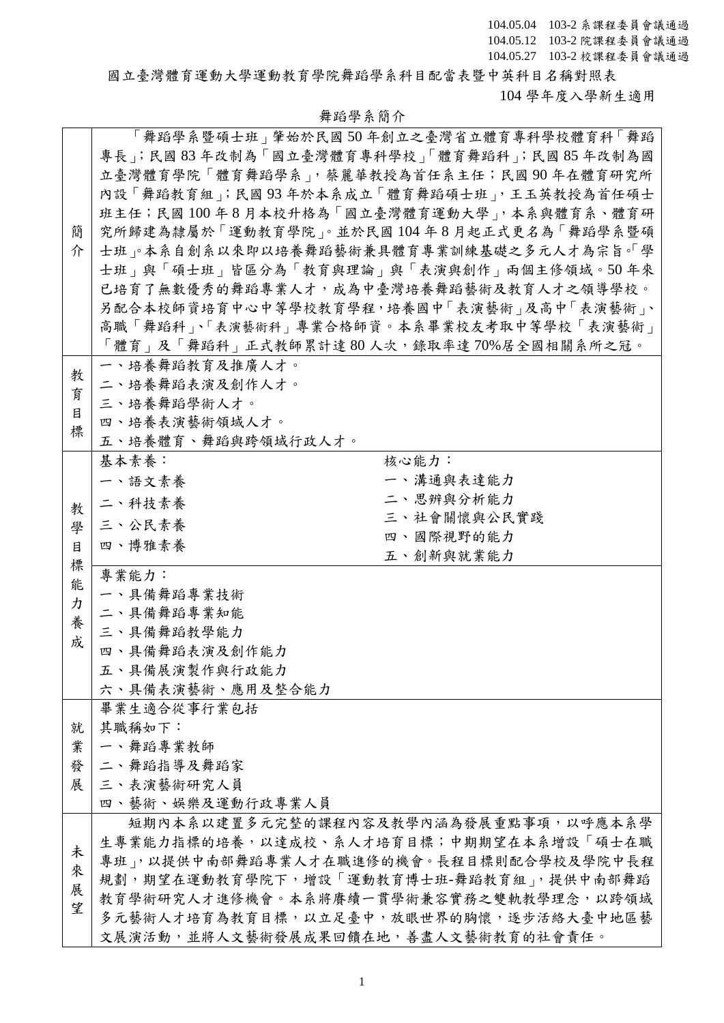國立臺灣體育運動大學運動教育學院舞蹈學系科目配當表暨中英科目名稱對照表 104 學年度入學新生適用

## 舞蹈學系簡介

|   | 專長 ; 民國 83 年改制為「國立臺灣體育專科學校」「體育舞蹈科 ; 民國 85 年改制為國 | 「舞蹈學系暨碩士班 」肇始於民國 50 年創立之臺灣省立體育專科學校體育科「舞蹈 |
|---|-------------------------------------------------|------------------------------------------|
|   | 立臺灣體育學院「體育舞蹈學系」,蔡麗華教授為首任系主任;民國90年在體育研究所         |                                          |
|   |                                                 |                                          |
|   | 內設「舞蹈教育組」;民國93年於本系成立「體育舞蹈碩士班」,王玉英教授為首任碩士        |                                          |
|   | 班主任;民國100年8月本校升格為「國立臺灣體育運動大學」,本系與體育系、體育研        |                                          |
| 簡 | 究所歸建為隸屬於「運動教育學院」。並於民國104年8月起正式更名為「舞蹈學系暨碩        |                                          |
| 介 | 士班、本系自創系以來即以培養舞蹈藝術兼具體育專業訓練基礎之多元人才為宗旨。「學         |                                          |
|   | 士班   與「碩士班   皆區分為「教育與理論   與「表演與創作   兩個主修領域。50年來 |                                          |
|   | 已培育了無數優秀的舞蹈專業人才,成為中臺灣培養舞蹈藝術及教育人才之領導學校。          |                                          |
|   | 另配合本校師資培育中心中等學校教育學程,培養國中「表演藝術」及高中「表演藝術」、        |                                          |
|   | 高職「舞蹈科」、「表演藝術科」專業合格師資。本系畢業校友考取中等學校「表演藝術」        |                                          |
|   | 「體育」及「舞蹈科」正式教師累計達 80 人次,錄取率達 70%居全國相關系所之冠。      |                                          |
|   | 一、培養舞蹈教育及推廣人才。                                  |                                          |
| 教 | 二、培養舞蹈表演及創作人才。                                  |                                          |
| 育 |                                                 |                                          |
| 目 | 三、培養舞蹈學術人才。                                     |                                          |
| 標 | 四、培養表演藝術領域人才。                                   |                                          |
|   | 五、培養體育、舞蹈與跨領域行政人才。                              |                                          |
|   | 基本素養:                                           | 核心能力:                                    |
|   | 一、語文素養                                          | 一、溝通與表達能力                                |
| 教 | 二、科技素養                                          | 二、思辨與分析能力                                |
| 學 | 三、公民素養                                          | 三、社會關懷與公民實踐                              |
| 目 | 四、博雅素養                                          | 四、國際視野的能力                                |
| 標 |                                                 | 五、創新與就業能力                                |
| 能 | 專業能力:                                           |                                          |
| カ | 一、具備舞蹈專業技術                                      |                                          |
| 養 | 二、具備舞蹈專業知能                                      |                                          |
| 成 | 三、具備舞蹈教學能力                                      |                                          |
|   | 四、具備舞蹈表演及創作能力                                   |                                          |
|   | 五、具備展演製作與行政能力                                   |                                          |
|   | 六、具備表演藝術、應用及整合能力                                |                                          |
|   | 畢業生適合從事行業包括                                     |                                          |
| 就 | 其職稱如下:                                          |                                          |
| 業 | 一、舞蹈專業教師                                        |                                          |
| 發 | 二、舞蹈指導及舞蹈家                                      |                                          |
| 展 | 三、表演藝術研究人員                                      |                                          |
|   | 四、藝術、娛樂及運動行政專業人員                                |                                          |
|   | 短期內本系以建置多元完整的課程內容及教學內涵為發展重點事項,以呼應本系學            |                                          |
|   | 生專業能力指標的培養,以達成校、系人才培育目標;中期期望在本系增設「碩士在職          |                                          |
| 未 | 專班」,以提供中南部舞蹈專業人才在職進修的機會。長程目標則配合學校及學院中長程         |                                          |
| 來 | 規劃,期望在運動教育學院下,增設「運動教育博士班-舞蹈教育組」,提供中南部舞蹈         |                                          |
| 展 | 教育學術研究人才進修機會。本系將賡續一貫學術兼容實務之雙軌教學理念,以跨領域          |                                          |
| 望 | 多元藝術人才培育為教育目標,以立足臺中,放眼世界的胸懷,逐步活絡大臺中地區藝          |                                          |
|   |                                                 |                                          |
|   | 文展演活動,並將人文藝術發展成果回饋在地,善盡人文藝術教育的社會責任。             |                                          |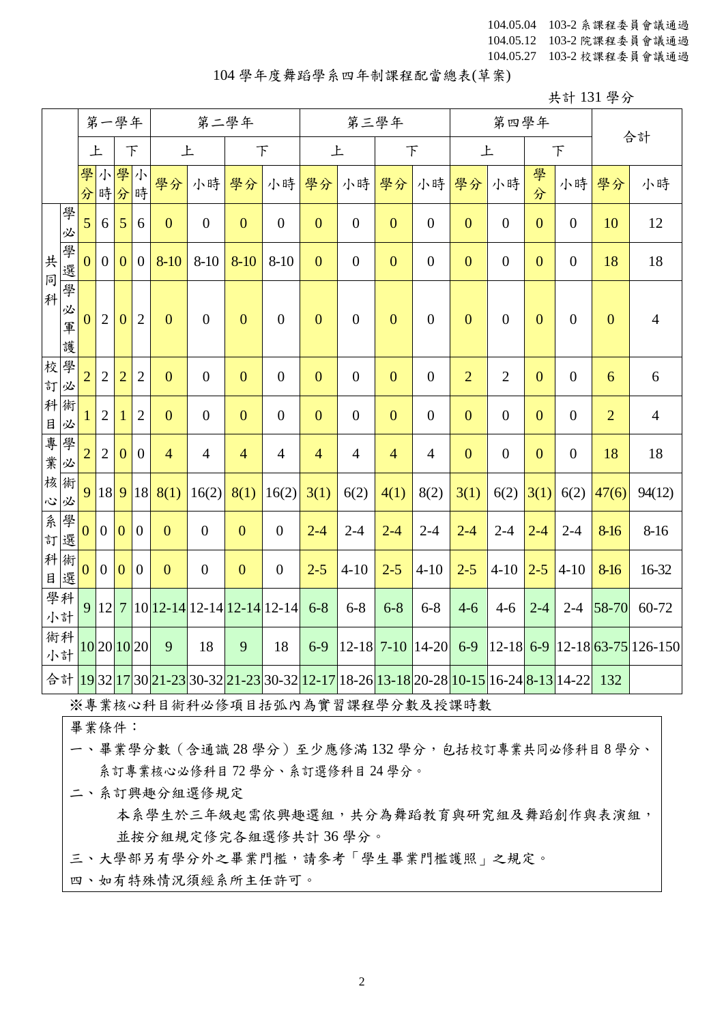## 104 學年度舞蹈學系四年制課程配當總表(草案)

共計 131 學分

|          |                  |                |                  | 第一學年             |                | 第二學年           |                              |                |                  |                |                  | 第三學年           |                                                                                                                                                                                                   |                | 第四學年             |                | 合計               |                  |                                                                                        |
|----------|------------------|----------------|------------------|------------------|----------------|----------------|------------------------------|----------------|------------------|----------------|------------------|----------------|---------------------------------------------------------------------------------------------------------------------------------------------------------------------------------------------------|----------------|------------------|----------------|------------------|------------------|----------------------------------------------------------------------------------------|
|          |                  | 上              |                  | F                |                | 上              |                              | $\top$         |                  | 上              |                  | $\top$         |                                                                                                                                                                                                   | 上              |                  |                | $\top$           |                  |                                                                                        |
|          |                  | 學<br>分         | 小                | 學小<br>時分時        |                | 學分             | 小時                           | 學分             | 小時               | 學分             | 小時               | 學分             | 小時                                                                                                                                                                                                | 學分             | 小時               | 學<br>分         | 小時               | 學分               | 小時                                                                                     |
|          | 學<br>必           | 5              | 6                | 5                | 6              | $\overline{0}$ | $\overline{0}$               | $\overline{0}$ | $\boldsymbol{0}$ | $\overline{0}$ | $\overline{0}$   | $\overline{0}$ | $\overline{0}$                                                                                                                                                                                    | $\overline{0}$ | $\boldsymbol{0}$ | $\overline{0}$ | $\boldsymbol{0}$ | 10               | 12                                                                                     |
| 共<br>同   | 學<br>選           | $\overline{0}$ | $\overline{0}$   | $\mathbf{0}$     | $\mathbf{0}$   | $8-10$         | $8 - 10$                     | $8 - 10$       | $8 - 10$         | $\overline{0}$ | $\boldsymbol{0}$ | $\mathbf{0}$   | $\boldsymbol{0}$                                                                                                                                                                                  | $\mathbf{0}$   | $\boldsymbol{0}$ | $\mathbf{0}$   | $\boldsymbol{0}$ | 18               | 18                                                                                     |
| 科        | 學<br>必<br>軍<br>護 | $\overline{0}$ | $\overline{2}$   | $\boldsymbol{0}$ | $\overline{2}$ | $\overline{0}$ | $\overline{0}$               | $\overline{0}$ | $\overline{0}$   | $\mathbf{0}$   | $\boldsymbol{0}$ | $\overline{0}$ | $\overline{0}$                                                                                                                                                                                    | $\overline{0}$ | $\boldsymbol{0}$ | $\overline{0}$ | $\boldsymbol{0}$ | $\boldsymbol{0}$ | $\overline{4}$                                                                         |
| 校學<br>訂必 |                  | $\overline{2}$ | $\overline{2}$   | $\overline{2}$   | $\mathbf{2}$   | $\mathbf{0}$   | $\overline{0}$               | $\overline{0}$ | $\boldsymbol{0}$ | $\mathbf{0}$   | $\boldsymbol{0}$ | $\mathbf{0}$   | $\overline{0}$                                                                                                                                                                                    | $\overline{2}$ | $\overline{2}$   | $\mathbf{0}$   | $\boldsymbol{0}$ | 6                | $6\,$                                                                                  |
| 科術       | 目必               |                | $\overline{2}$   | -1               | $\overline{2}$ | $\mathbf{0}$   | $\overline{0}$               | $\overline{0}$ | $\boldsymbol{0}$ | $\overline{0}$ | $\boldsymbol{0}$ | $\mathbf{0}$   | $\overline{0}$                                                                                                                                                                                    | $\overline{0}$ | $\boldsymbol{0}$ | $\overline{0}$ | $\boldsymbol{0}$ | $\overline{2}$   | $\overline{4}$                                                                         |
|          | 專學必              | $\overline{2}$ | $\overline{2}$   | $\mathbf{0}$     | $\mathbf{0}$   | $\overline{4}$ | $\overline{4}$               | $\overline{4}$ | $\overline{4}$   | $\overline{4}$ | $\overline{4}$   | $\overline{4}$ | $\overline{4}$                                                                                                                                                                                    | $\overline{0}$ | $\boldsymbol{0}$ | $\overline{0}$ | $\boldsymbol{0}$ | 18               | 18                                                                                     |
| 核術<br>心必 |                  | 9              | 18               | 9                | 18             | 8(1)           | 16(2)                        | 8(1)           | 16(2)            | 3(1)           | 6(2)             | 4(1)           | 8(2)                                                                                                                                                                                              | 3(1)           | 6(2)             | 3(1)           | 6(2)             | 47(6)            | 94(12)                                                                                 |
| 系        | 學<br>訂選          | $\mathbf{0}$   | $\overline{0}$   | $\mathbf{0}$     | $\overline{0}$ | $\overline{0}$ | $\overline{0}$               | $\overline{0}$ | $\boldsymbol{0}$ | $2 - 4$        | $2 - 4$          | $2 - 4$        | $2 - 4$                                                                                                                                                                                           | $2 - 4$        | $2 - 4$          | $2 - 4$        | $2 - 4$          | 8-16             | $8-16$                                                                                 |
|          | 科術<br>目選         | $\mathbf{0}$   | $\boldsymbol{0}$ | $\mathbf{0}$     | $\overline{0}$ | $\mathbf{0}$   | $\overline{0}$               | $\mathbf{0}$   | $\boldsymbol{0}$ | $2 - 5$        | $4 - 10$         | $2 - 5$        | $4 - 10$                                                                                                                                                                                          | $2 - 5$        | $4 - 10$         | $2 - 5$        | $4 - 10$         | 8-16             | 16-32                                                                                  |
|          | 學科<br>小計         | 9              | 12               | $7\overline{ }$  |                |                | $10$ 12-14 12-14 12-14 12-14 |                |                  | $6 - 8$        | $6 - 8$          | $6 - 8$        | $6 - 8$                                                                                                                                                                                           | $4 - 6$        | $4 - 6$          | $2 - 4$        | $2 - 4$          | 58-70            | 60-72                                                                                  |
| 小計       | 術科               |                |                  | 10 20 10 20      |                | 9              | 18                           | 9              | 18               | $6-9$          |                  |                | $ 12-18 $ 7-10 $ 14-20 $                                                                                                                                                                          | $6-9$          |                  |                |                  |                  | $\left  12 - 18 \right $ 6-9 $\left  12 - 18 \right $ 63-75 $\left  126 - 150 \right $ |
|          |                  |                |                  |                  |                |                |                              |                |                  |                |                  |                | 合計 <mark>19</mark> 32 <mark>17</mark> 30 <mark>21-23</mark> 30-32 <mark>21-23</mark> 30-32 <mark>12-17</mark> 18-26 <mark>13-18</mark> 20-28 <mark>10-15</mark> 16-24 <mark>8-13</mark> 14-22 132 |                |                  |                |                  |                  |                                                                                        |

※專業核心科目術科必修項目括弧內為實習課程學分數及授課時數

畢業條件:

一、畢業學分數(含通識 28 學分)至少應修滿 132 學分,包括校訂專業共同必修科目 8 學分、 系訂專業核心必修科目 72 學分、系訂選修科目 24 學分。

二、系訂興趣分組選修規定

本系學生於三年級起需依興趣選組,共分為舞蹈教育與研究組及舞蹈創作與表演組, 並按分組規定修完各組選修共計 36 學分。

三、大學部另有學分外之畢業門檻,請參考「學生畢業門檻護照」之規定。

四、如有特殊情況須經系所主任許可。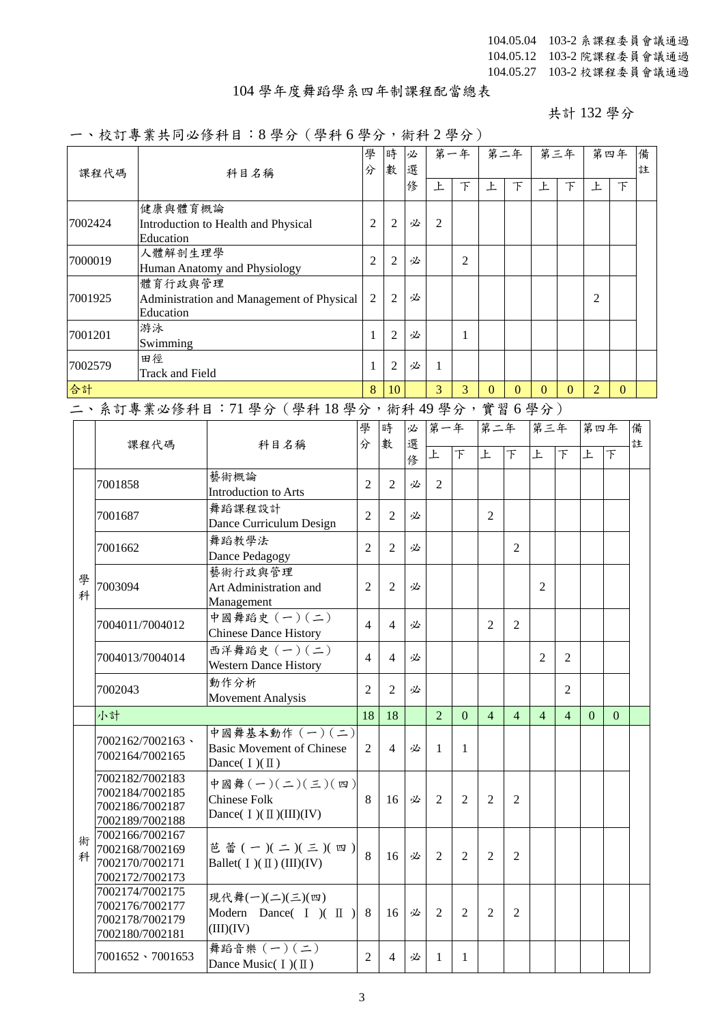## 104 學年度舞蹈學系四年制課程配當總表

共計 132 學分

## 一、校訂專業共同必修科目:8 學分(學科 6 學分,術科 2 學分)

|         |                           |                                     |                                                       |                |                | $\cdots$ |                |                |                |                |                |                |                |          |        |
|---------|---------------------------|-------------------------------------|-------------------------------------------------------|----------------|----------------|----------|----------------|----------------|----------------|----------------|----------------|----------------|----------------|----------|--------|
|         | 課程代碼                      |                                     | 科目名稱                                                  | 學<br>分         | 時<br>數         | 必<br>選   |                | 第一年            |                | 第二年            |                | 第三年            |                | 第四年      | 備<br>註 |
|         |                           |                                     |                                                       |                |                | 俢        | 上              | $\top$         | 上              | $\top$         | 上              | $\top$         | 上              | $\top$   |        |
|         |                           | 健康與體育概論                             |                                                       |                |                |          |                |                |                |                |                |                |                |          |        |
| 7002424 |                           | Education                           | Introduction to Health and Physical                   | $\overline{2}$ | 2              | 必        | 2              |                |                |                |                |                |                |          |        |
| 7000019 |                           | 人體解剖生理學                             |                                                       | 2              | $\overline{2}$ | 必        |                | 2              |                |                |                |                |                |          |        |
|         |                           | 體育行政與管理                             | Human Anatomy and Physiology                          |                |                |          |                |                |                |                |                |                |                |          |        |
| 7001925 |                           | Education                           | Administration and Management of Physical             | 2              | 2              | 必        |                |                |                |                |                |                | 2              |          |        |
|         | 游泳<br>7001201<br>Swimming |                                     |                                                       | $\mathbf{1}$   | 2              | 必        |                | 1              |                |                |                |                |                |          |        |
| 7002579 |                           | 田徑                                  |                                                       | 1              | 2              | 必        | 1              |                |                |                |                |                |                |          |        |
| 合計      |                           | <b>Track and Field</b>              |                                                       | 8              | 10             |          | 3              | 3              | $\Omega$       | $\Omega$       | $\mathbf{0}$   | $\Omega$       | $\overline{2}$ | $\Omega$ |        |
|         |                           |                                     | 二、系訂專業必修科目: 71 學分 (學科18學分,術科49學分,實習6學分)               |                |                |          |                |                |                |                |                |                |                |          |        |
|         |                           |                                     |                                                       | 學              | 時              | 必        | 第一年            |                | 第二年            |                | 第三年            |                | 第四年            |          | 備      |
|         | 課程代碼                      |                                     | 科目名稱                                                  | 分              | 數              | 選        |                |                |                |                |                |                |                |          | 註      |
|         |                           |                                     |                                                       |                |                | 俢        | 上              | F              | 上              | F              | 上              | 下              | 上              | 下        |        |
|         | 7001858                   |                                     | 藝術概論                                                  | $\overline{2}$ | $\overline{2}$ | 必        | $\overline{2}$ |                |                |                |                |                |                |          |        |
|         |                           |                                     | Introduction to Arts                                  |                |                |          |                |                |                |                |                |                |                |          |        |
|         | 7001687                   |                                     | 舞蹈課程設計<br>Dance Curriculum Design                     | 2              | $\overline{2}$ | 必        |                |                | 2              |                |                |                |                |          |        |
|         |                           |                                     | 舞蹈教學法                                                 |                |                |          |                |                |                |                |                |                |                |          |        |
|         | 7001662                   |                                     | Dance Pedagogy                                        | $\overline{2}$ | $\overline{2}$ | 必        |                |                |                | 2              |                |                |                |          |        |
| 學       |                           |                                     | 藝術行政與管理                                               |                |                |          |                |                |                |                |                |                |                |          |        |
| 科       | 7003094                   |                                     | Art Administration and                                | 2              | $\overline{2}$ | 必        |                |                |                |                | 2              |                |                |          |        |
|         |                           |                                     | Management<br>中國舞蹈史 (一)(二)                            |                |                |          |                |                |                |                |                |                |                |          |        |
|         |                           | 7004011/7004012                     | <b>Chinese Dance History</b>                          | $\overline{4}$ | $\overline{4}$ | 必        |                |                | 2              | 2              |                |                |                |          |        |
|         |                           | 7004013/7004014                     | 西洋舞蹈史 (一)(二)                                          | $\overline{4}$ | $\overline{4}$ | 必        |                |                |                |                | $\overline{2}$ | 2              |                |          |        |
|         |                           |                                     | <b>Western Dance History</b>                          |                |                |          |                |                |                |                |                |                |                |          |        |
|         | 7002043                   |                                     | 動作分析<br><b>Movement Analysis</b>                      | 2              | 2              | 必        |                |                |                |                |                | 2              |                |          |        |
|         | 小計                        |                                     |                                                       | 18             | 18             |          | $\overline{2}$ | $\mathbf{0}$   | $\overline{4}$ | $\overline{4}$ | $\overline{4}$ | $\overline{4}$ | $\mathbf{0}$   | $\Omega$ |        |
|         |                           |                                     | 中國舞基本動作 (一)(二)                                        |                |                |          |                |                |                |                |                |                |                |          |        |
|         |                           | 7002162/7002163、<br>7002164/7002165 | <b>Basic Movement of Chinese</b><br>Dance( $I)(II)$ ) | $\overline{2}$ | $\overline{4}$ | 必        | 1              | 1              |                |                |                |                |                |          |        |
|         |                           | 7002182/7002183                     | 中國舞(一)(二)(三)(四)                                       |                |                |          |                |                |                |                |                |                |                |          |        |
|         |                           | 7002184/7002185                     | <b>Chinese Folk</b>                                   | 8              | 16             | 必        | $\overline{2}$ | $\overline{2}$ | 2              | 2              |                |                |                |          |        |
|         |                           | 7002186/7002187<br>7002189/7002188  | Dance( $I)(II)(III)(IV)$                              |                |                |          |                |                |                |                |                |                |                |          |        |
| 術       |                           | 7002166/7002167                     |                                                       |                |                |          |                |                |                |                |                |                |                |          |        |
| 科       |                           | 7002168/7002169                     | 芭蕾 $(-)(-)(-)(5)(0)$                                  | 8              | 16             | 必        | $\overline{2}$ | $\overline{2}$ | 2              | 2              |                |                |                |          |        |
|         |                           | 7002170/7002171<br>7002172/7002173  | Ballet( $I)(II)(III)(IV)$                             |                |                |          |                |                |                |                |                |                |                |          |        |
|         |                           | 7002174/7002175                     | 現代舞(一)(二)(三)(四)                                       |                |                |          |                |                |                |                |                |                |                |          |        |
|         |                           | 7002176/7002177                     | Modern Dance( $I$ )( $II$ )                           | 8              | 16             | 必        | $\overline{2}$ | $\overline{2}$ | $\overline{2}$ | $\overline{2}$ |                |                |                |          |        |
|         |                           | 7002178/7002179<br>7002180/7002181  | (III)(IV)                                             |                |                |          |                |                |                |                |                |                |                |          |        |
|         |                           |                                     | 舞蹈音樂 (一)(二)                                           |                |                |          |                |                |                |                |                |                |                |          |        |
|         |                           | $7001652 \cdot 7001653$             | Dance Music( $I)(II)$                                 | $\overline{2}$ | $\overline{4}$ | 必        | 1              | 1              |                |                |                |                |                |          |        |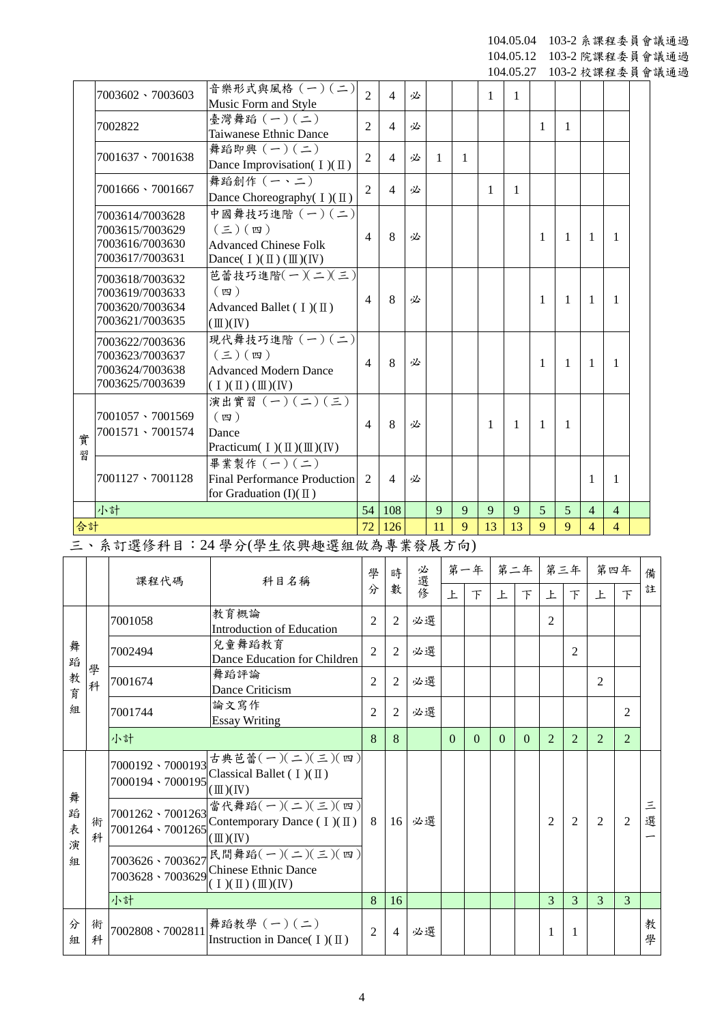104.05.04 103-2 系課程委員會議通過 104.05.12 103-2 院課程委員會議通過

104.05.27 103-2 校課程委員會議通過

|        | 7003602 \ 7003603                                                        | 音樂形式與風格 (一)(二)<br>Music Form and Style                                                                                                   | $\overline{2}$ | $\overline{4}$ | 必 |              |   | 1  | $\mathbf{1}$ |   |   |                          |                |  |
|--------|--------------------------------------------------------------------------|------------------------------------------------------------------------------------------------------------------------------------------|----------------|----------------|---|--------------|---|----|--------------|---|---|--------------------------|----------------|--|
|        | 7002822                                                                  | 臺灣舞蹈 (一)(二)<br>Taiwanese Ethnic Dance                                                                                                    | $\overline{2}$ | $\overline{4}$ | 必 |              |   |    |              | 1 | 1 |                          |                |  |
|        | 7001637 \ 7001638                                                        | 舞蹈即興 $(-)(-)$<br>Dance Improvisation( $I$ )( $\mathbb{I}$ )                                                                              | $\overline{2}$ | $\overline{4}$ | 必 | $\mathbf{1}$ | 1 |    |              |   |   |                          |                |  |
|        | 7001666 \7001667                                                         | 舞蹈創作 (一、二)<br>Dance Choreography( I)(II)                                                                                                 | $\overline{2}$ | $\overline{4}$ | 必 |              |   | 1  | 1            |   |   |                          |                |  |
|        | 7003614/7003628<br>7003615/7003629<br>7003616/7003630<br>7003617/7003631 | 中國舞技巧進階 (一)(二)<br>$(\boldsymbol{\Xi})$ $(\boldsymbol{\Xi})$<br><b>Advanced Chinese Folk</b><br>Dance( $I)(II)(III)(IV)$                  | $\overline{4}$ | 8              | 必 |              |   |    |              | 1 | 1 | 1                        | 1              |  |
|        | 7003618/7003632<br>7003619/7003633<br>7003620/7003634<br>7003621/7003635 | 芭蕾技巧進階(一)(二)(三)<br>(四)<br>Advanced Ballet ( $I$ )( $\Pi$ )<br>$(\mathbb{I})$ (IV)                                                        | 4              | 8              | 必 |              |   |    |              | 1 | 1 | 1                        | 1              |  |
|        | 7003622/7003636<br>7003623/7003637<br>7003624/7003638<br>7003625/7003639 | 現代舞技巧進階 (一)(二)<br>$(\boldsymbol{\Xi})$ $(\boldsymbol{\Xi})$<br><b>Advanced Modern Dance</b><br>$(1)(\mathbb{I})(\mathbb{I})(\mathbb{N})$ | 4              | 8              | 必 |              |   |    |              | 1 | 1 | 1                        | 1              |  |
| 實<br>꿥 | 7001057 \ 7001569<br>7001571 \ 7001574                                   | 演出實習 $(-)(-)(\le)$<br>$(\n$ 四 )<br>Dance<br>Practicum( $I$ )( $\mathbb{II}$ )( $\mathbb{II}$ )( IV)                                      | $\overline{4}$ | 8              | 必 |              |   | 1  | 1            | 1 | 1 |                          |                |  |
|        | 7001127 \ 7001128                                                        | 畢業製作 (一)(二)<br><b>Final Performance Production</b><br>for Graduation $(I)(\mathbb{I})$                                                   | $\overline{2}$ | $\overline{4}$ | 必 |              |   |    |              |   |   | 1                        | 1              |  |
|        | 小計                                                                       |                                                                                                                                          | 54             | 108            |   | 9            | 9 | 9  | 9            | 5 | 5 | $\overline{4}$           | $\overline{4}$ |  |
| 合計     |                                                                          |                                                                                                                                          | 72             | 126            |   | 11           | 9 | 13 | 13           | 9 | 9 | $\overline{\mathcal{A}}$ | $\overline{4}$ |  |

三、系訂選修科目:24 學分(學生依興趣選組做為專業發展方向)

|                  |        | 課程代碼                                 | 科目名稱                                                                                                          | 學              | 時               | 必選修 | 第一年      |          | 第二年      |          | 第三年           |                | 第四年            |                | 備      |  |  |  |  |  |  |
|------------------|--------|--------------------------------------|---------------------------------------------------------------------------------------------------------------|----------------|-----------------|-----|----------|----------|----------|----------|---------------|----------------|----------------|----------------|--------|--|--|--|--|--|--|
|                  |        |                                      |                                                                                                               | 分              | 數               |     | 上        | $\top$   | 上        | 下        | 上             | 下              | 上              | $\top$         | 註      |  |  |  |  |  |  |
|                  |        | 7001058                              | 教育概論<br>Introduction of Education                                                                             | 2              | $\mathfrak{D}$  | 必選  |          |          |          |          | 2             |                |                |                |        |  |  |  |  |  |  |
| 舞<br>蹈           |        | 7002494                              | 兒童舞蹈教育<br>Dance Education for Children                                                                        | $\overline{2}$ | $\overline{2}$  | 必選  |          |          |          |          |               | 2              |                |                |        |  |  |  |  |  |  |
| 教<br>育           | 學<br>科 | 7001674                              | 舞蹈評論<br>Dance Criticism                                                                                       | $\mathfrak{D}$ | 2               | 必選  |          |          |          |          |               |                | 2              |                |        |  |  |  |  |  |  |
| 組                |        | 7001744                              | 論文寫作<br><b>Essay Writing</b>                                                                                  | 2              | $\overline{2}$  | 必選  |          |          |          |          |               |                |                | 2              |        |  |  |  |  |  |  |
|                  |        | 小計                                   |                                                                                                               |                | 8               |     | $\Omega$ | $\Omega$ | $\Omega$ | $\Omega$ | $\mathcal{L}$ | $\mathfrak{D}$ | $\overline{2}$ | $\overline{2}$ |        |  |  |  |  |  |  |
|                  |        |                                      | 7000192、7000193 古典芭蕾(一)(二)(三)(四)<br>7000194 · 7000195 Classical Ballet (I)(II)<br>$(\mathbb{I})$ (IV)         | -8             |                 |     |          |          |          |          |               |                |                |                |        |  |  |  |  |  |  |
| 舞<br>蹈<br>表<br>演 | 術<br>科 | 7001262 \ 7001263<br>7001264、7001265 | 當代舞蹈(一)(二)(三)(四)<br>Contemporary Dance $(1)(\mathbb{I})$<br>$(\mathbb{II})(\mathbb{N})$                       |                | 16 <sup>1</sup> | 必選  |          |          |          |          | 2             | $\overline{2}$ | $\mathcal{L}$  | $\overline{2}$ | 三<br>選 |  |  |  |  |  |  |
| 組                |        |                                      | 7003626、7003627 民間舞蹈(一)(二)(三)(四) <br>7003628 - 7003629 Chinese Ethnic Dance<br>$(\bot)(\Pi)(\Pi)(\mathbb{N})$ |                |                 |     |          |          |          |          |               |                |                |                |        |  |  |  |  |  |  |
|                  |        | 小計                                   |                                                                                                               | 8              | 16              |     |          |          |          |          | $\mathcal{R}$ | 3              | $\mathcal{E}$  | 3              |        |  |  |  |  |  |  |
| 分<br>組           | 術<br>科 | 7002808 \7002811                     | 舞蹈教學 (一)(二)<br>Instruction in Dance( $I)(II)$ )                                                               | $\mathfrak{D}$ | $\overline{4}$  | 必選  |          |          |          |          | 1             | 1              |                |                | 教<br>學 |  |  |  |  |  |  |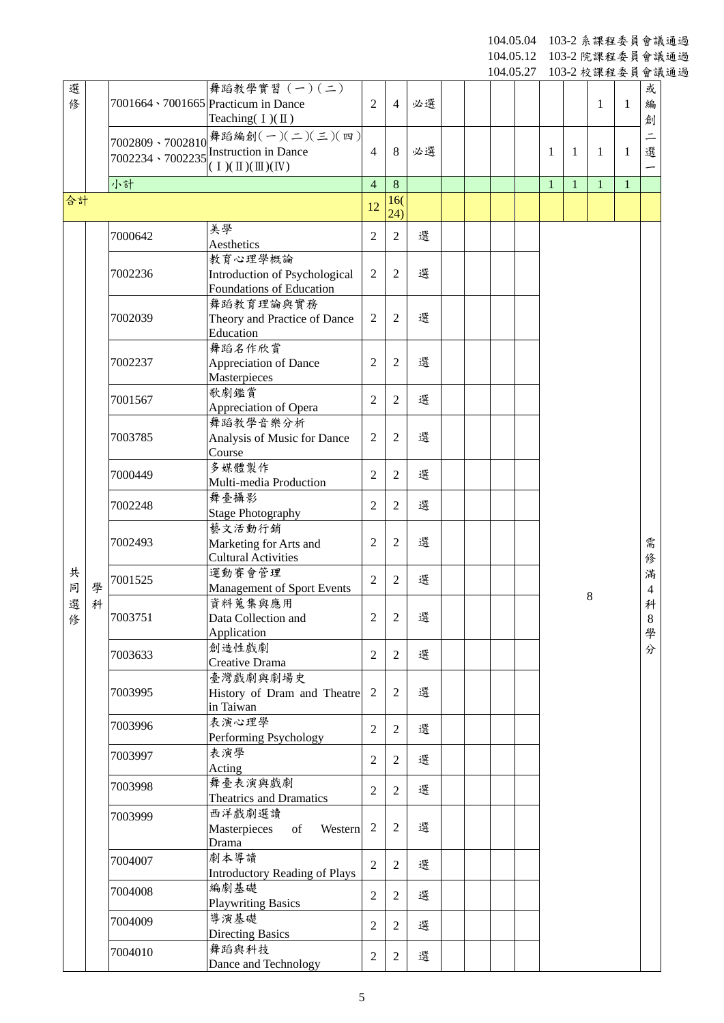104.05.04 103-2 系課程委員會議通過

104.05.12 103-2 院課程委員會議通過

|        |   |                   |                                                                                       |                  |                |    |  | 104.05.27 |              |              | 103-2 校課程委員會議通過     |              |                 |  |
|--------|---|-------------------|---------------------------------------------------------------------------------------|------------------|----------------|----|--|-----------|--------------|--------------|---------------------|--------------|-----------------|--|
| 選<br>俢 |   |                   | 舞蹈教學實習 (一)(二)<br>7001664 \ 7001665 Practicum in Dance<br>Teaching( $I)(II)$           | $\overline{2}$   | $\overline{4}$ | 必選 |  |           |              |              | 1                   | 1            | 或<br>編<br>創     |  |
|        |   | 7002234 \ 7002235 | 7002809、7002810 舞蹈編創(一)(二)(三)(四)<br><b>Instruction in Dance</b><br>$(1)(\Pi)(\Pi)(I)$ | $\overline{4}$   | 8              | 必選 |  |           | 1            | 1            | 1                   | 1            | $\equiv$<br>選   |  |
|        |   | 小計                |                                                                                       | $\overline{4}$   | 8              |    |  |           | $\mathbf{1}$ | $\mathbf{1}$ | $\mathbf{1}$        | $\mathbf{1}$ |                 |  |
| 合計     |   |                   |                                                                                       | 12               | 16(<br>(24)    |    |  |           |              |              |                     |              |                 |  |
|        |   | 7000642           | 美學<br>Aesthetics                                                                      | $\overline{2}$   | $\overline{2}$ | 選  |  |           |              |              |                     |              |                 |  |
|        |   | 7002236           | 教育心理學概論<br>Introduction of Psychological<br>Foundations of Education                  | $\overline{2}$   | 2              | 選  |  |           |              |              |                     |              |                 |  |
|        |   | 7002039           | 舞蹈教育理論與實務<br>Theory and Practice of Dance<br>Education                                | $\overline{2}$   | $\overline{2}$ | 選  |  |           |              |              |                     |              |                 |  |
|        |   | 7002237           | 舞蹈名作欣賞<br>Appreciation of Dance<br>Masterpieces                                       | 2                | 2              | 選  |  |           |              |              |                     |              |                 |  |
|        |   | 7001567           | 歌劇鑑賞<br>Appreciation of Opera                                                         | $\overline{2}$   | $\overline{2}$ | 選  |  |           |              |              |                     |              |                 |  |
|        |   | 7003785           | 舞蹈教學音樂分析<br>Analysis of Music for Dance<br>Course                                     | $\overline{2}$   | $\overline{2}$ | 選  |  |           |              |              |                     |              |                 |  |
|        |   | 7000449           | 多媒體製作<br>Multi-media Production                                                       | $\overline{2}$   | $\overline{2}$ | 選  |  |           |              |              |                     |              |                 |  |
|        |   | 7002248           | 舞臺攝影<br><b>Stage Photography</b>                                                      | $\overline{2}$   | $\mathbf{2}$   | 選  |  |           |              |              |                     |              |                 |  |
|        |   | 7002493           | 藝文活動行銷<br>Marketing for Arts and<br><b>Cultural Activities</b>                        | $\overline{2}$   | $\mathfrak{2}$ | 選  |  |           |              |              |                     |              | 需<br>俢          |  |
| 共<br>同 | 學 | 7001525           | 運動賽會管理<br>Management of Sport Events                                                  | $\overline{2}$   | $\overline{2}$ | 選  |  |           |              |              | 滿<br>$\overline{4}$ |              |                 |  |
| 選<br>俢 | 科 | 7003751           | 資料蒐集與應用<br>Data Collection and<br>Application                                         | 2                | 2              | 選  |  |           | 8            |              |                     |              | 科<br>$8\,$<br>學 |  |
|        |   | 7003633           | 創造性戲劇<br>Creative Drama                                                               | $\overline{2}$   | $\overline{2}$ | 選  |  |           |              |              |                     |              | 分               |  |
|        |   | 7003995           | 臺灣戲劇與劇場史<br>History of Dram and Theatre<br>in Taiwan                                  | $\boldsymbol{2}$ | $\overline{2}$ | 選  |  |           |              |              |                     |              |                 |  |
|        |   | 7003996           | 表演心理學<br>Performing Psychology                                                        | $\overline{2}$   | $\overline{2}$ | 選  |  |           |              |              |                     |              |                 |  |
|        |   | 7003997           | 表演學<br>Acting                                                                         | $\overline{2}$   | 2              | 選  |  |           |              |              |                     |              |                 |  |
|        |   | 7003998           | 舞臺表演與戲劇<br>Theatrics and Dramatics                                                    | $\overline{2}$   | 2              | 選  |  |           |              |              |                     |              |                 |  |
|        |   | 7003999           | 西洋戲劇選讀<br>Masterpieces<br>of<br>Western<br>Drama                                      | $\overline{2}$   | 2              | 選  |  |           |              |              |                     |              |                 |  |
|        |   | 7004007           | 劇本導讀<br><b>Introductory Reading of Plays</b>                                          | $\overline{2}$   | 2              | 選  |  |           |              |              |                     |              |                 |  |
|        |   | 7004008           | 編劇基礎<br><b>Playwriting Basics</b>                                                     | $\overline{2}$   | 2              | 選  |  |           |              |              |                     |              |                 |  |
|        |   | 7004009           | 導演基礎<br><b>Directing Basics</b>                                                       | $\overline{2}$   | 2              | 選  |  |           |              |              |                     |              |                 |  |
|        |   | 7004010           | 舞蹈與科技<br>Dance and Technology                                                         | $\sqrt{2}$       | $\overline{2}$ | 選  |  |           |              |              |                     |              |                 |  |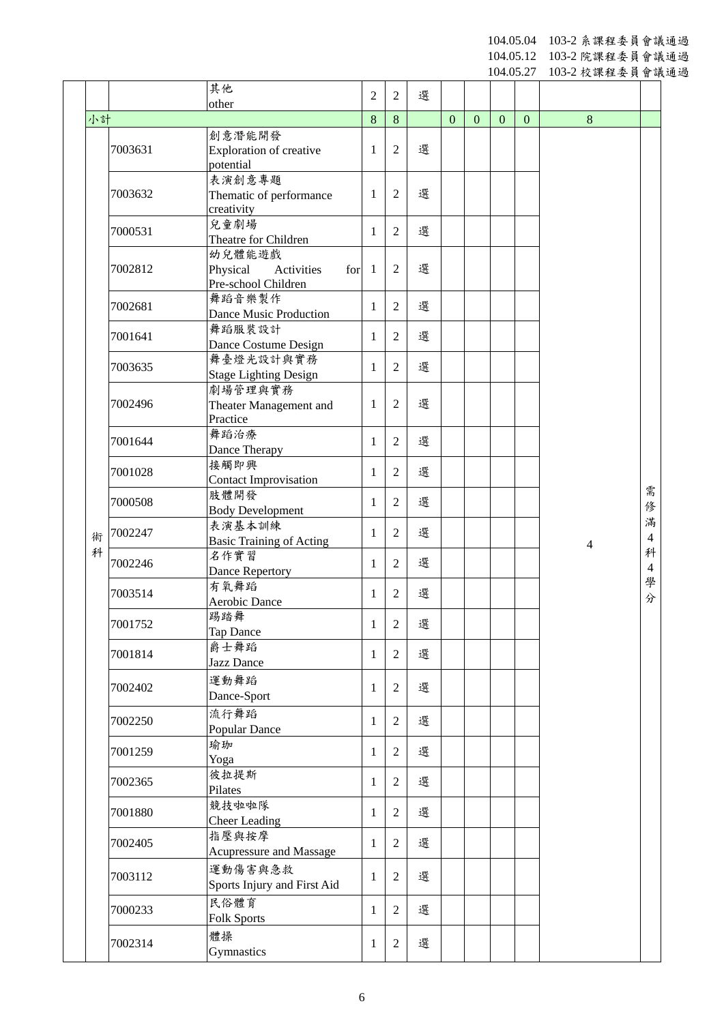104.05.04 103 - 2 系課程委員會議通過

104.05.12 103 - 2 院課程委員會議通過

|        |                    |                                                      |                |                |   |              |                  | 104.05.27        |              | 103-2 校課程委員會議通過 |                     |  |
|--------|--------------------|------------------------------------------------------|----------------|----------------|---|--------------|------------------|------------------|--------------|-----------------|---------------------|--|
|        |                    | 其他                                                   | $\overline{2}$ | $\overline{2}$ | 選 |              |                  |                  |              |                 |                     |  |
| 小計     |                    | other                                                | 8              | $8\phantom{.}$ |   | $\mathbf{0}$ | $\boldsymbol{0}$ | $\boldsymbol{0}$ | $\mathbf{0}$ | $\,8\,$         |                     |  |
|        |                    | 創意潛能開發                                               |                |                |   |              |                  |                  |              |                 |                     |  |
|        | 7003631            | Exploration of creative                              | 1              | $\mathfrak{2}$ | 選 |              |                  |                  |              |                 |                     |  |
|        |                    | potential                                            |                |                |   |              |                  |                  |              |                 |                     |  |
|        | 7003632            | 表演創意專題                                               | 1              | $\overline{2}$ | 選 |              |                  |                  |              |                 |                     |  |
|        |                    | Thematic of performance<br>creativity                |                |                |   |              |                  |                  |              |                 |                     |  |
|        |                    | 兒童劇場                                                 |                |                |   |              |                  |                  |              |                 |                     |  |
|        | 7000531            | Theatre for Children                                 | 1              | $\mathfrak{2}$ | 選 |              |                  |                  |              |                 |                     |  |
|        |                    | 幼兒體能遊戲                                               |                |                |   |              |                  |                  |              |                 |                     |  |
|        | 7002812            | Physical<br>Activities<br>for<br>Pre-school Children | $\overline{1}$ | $\mathfrak{2}$ | 選 |              |                  |                  |              |                 |                     |  |
|        |                    | 舞蹈音樂製作                                               |                |                |   |              |                  |                  |              |                 |                     |  |
|        | 7002681            | Dance Music Production                               | 1              | $\overline{2}$ | 選 |              |                  |                  |              |                 |                     |  |
|        | 7001641            | 舞蹈服裝設計                                               | 1              | 2              | 選 |              |                  |                  |              |                 |                     |  |
|        |                    | Dance Costume Design                                 |                |                |   |              |                  |                  |              |                 |                     |  |
|        | 7003635            | 舞臺燈光設計與實務                                            | $\mathbf{1}$   | $\overline{2}$ | 選 |              |                  |                  |              |                 |                     |  |
|        | 7002496<br>7001644 | <b>Stage Lighting Design</b><br>劇場管理與實務              |                |                |   |              |                  |                  |              |                 |                     |  |
|        |                    | Theater Management and                               | 1              | $\overline{c}$ | 選 |              |                  |                  |              |                 |                     |  |
|        |                    | Practice                                             |                |                |   |              |                  |                  |              |                 |                     |  |
|        |                    | 舞蹈治療                                                 | $\mathbf{1}$   | $\overline{2}$ | 選 |              |                  |                  |              |                 |                     |  |
|        |                    | Dance Therapy                                        |                |                |   |              |                  |                  |              |                 |                     |  |
|        | 7001028            | 接觸即興                                                 | 1              | $\overline{2}$ | 選 |              |                  |                  |              |                 |                     |  |
|        |                    | <b>Contact Improvisation</b><br>肢體開發                 |                |                |   |              |                  |                  |              |                 | 需                   |  |
|        | 7000508            | <b>Body Development</b>                              | 1              | 2              | 選 |              |                  |                  |              |                 | 俢                   |  |
|        | 7002247            | 表演基本訓練                                               | $\mathbf{1}$   | $\overline{2}$ | 選 |              |                  |                  |              |                 | 滿                   |  |
| 術<br>科 |                    | <b>Basic Training of Acting</b>                      |                |                |   |              |                  |                  |              | $\overline{4}$  | $\overline{4}$<br>科 |  |
|        | 7002246            | 名作實習                                                 | 1              | $\overline{2}$ | 選 |              |                  |                  |              |                 | $\overline{4}$      |  |
|        |                    | Dance Repertory<br>有氧舞蹈                              |                |                |   |              |                  |                  |              |                 | 學                   |  |
|        | 7003514            | Aerobic Dance                                        | 1              | $\mathfrak{2}$ | 選 |              |                  |                  |              |                 | 分                   |  |
|        | 7001752            | 踢踏舞                                                  | $\mathbf{1}$   | $\overline{2}$ | 選 |              |                  |                  |              |                 |                     |  |
|        |                    | <b>Tap Dance</b>                                     |                |                |   |              |                  |                  |              |                 |                     |  |
|        | 7001814            | 爵士舞蹈                                                 | 1              | $\overline{2}$ | 選 |              |                  |                  |              |                 |                     |  |
|        |                    | Jazz Dance                                           |                |                |   |              |                  |                  |              |                 |                     |  |
|        | 7002402            | 運動舞蹈<br>Dance-Sport                                  | $\mathbf{1}$   | $\overline{2}$ | 選 |              |                  |                  |              |                 |                     |  |
|        |                    | 流行舞蹈                                                 |                |                |   |              |                  |                  |              |                 |                     |  |
|        | 7002250            | Popular Dance                                        | 1              | $\overline{2}$ | 選 |              |                  |                  |              |                 |                     |  |
|        | 7001259            | 瑜珈                                                   | 1              | $\overline{2}$ | 選 |              |                  |                  |              |                 |                     |  |
|        |                    | Yoga                                                 |                |                |   |              |                  |                  |              |                 |                     |  |
|        | 7002365            | 彼拉提斯                                                 | 1              | $\overline{2}$ | 選 |              |                  |                  |              |                 |                     |  |
|        |                    | Pilates<br>競技啦啦隊                                     |                |                |   |              |                  |                  |              |                 |                     |  |
|        | 7001880            | <b>Cheer Leading</b>                                 | $\mathbf{1}$   | $\mathfrak{2}$ | 選 |              |                  |                  |              |                 |                     |  |
|        |                    | 指壓與按摩                                                |                |                |   |              |                  |                  |              |                 |                     |  |
|        | 7002405            | Acupressure and Massage                              | 1              | $\overline{2}$ | 選 |              |                  |                  |              |                 |                     |  |
|        | 7003112            | 運動傷害與急救                                              | $\mathbf{1}$   | $\overline{2}$ | 選 |              |                  |                  |              |                 |                     |  |
|        |                    | Sports Injury and First Aid                          |                |                |   |              |                  |                  |              |                 |                     |  |
|        | 7000233            | 民俗體育                                                 | 1              | $\overline{2}$ | 選 |              |                  |                  |              |                 |                     |  |
|        |                    | <b>Folk Sports</b>                                   |                |                |   |              |                  |                  |              |                 |                     |  |
|        | 7002314            | 體操                                                   | $\mathbf{1}$   | $\sqrt{2}$     | 選 |              |                  |                  |              |                 |                     |  |
|        |                    | Gymnastics                                           |                |                |   |              |                  |                  |              |                 |                     |  |